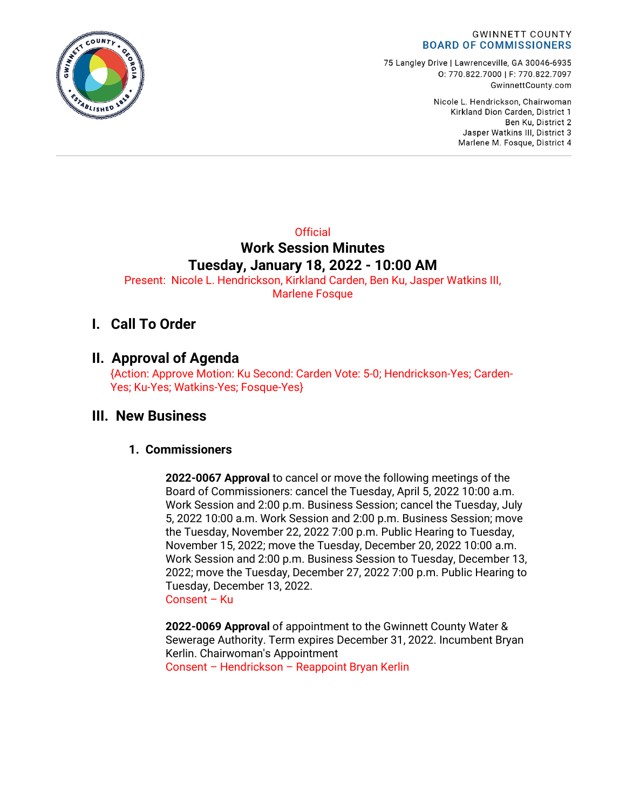

75 Langley Drive | Lawrenceville, GA 30046-6935 0: 770.822.7000 | F: 770.822.7097 GwinnettCounty.com

> Nicole L. Hendrickson, Chairwoman Kirkland Dion Carden, District 1 Ben Ku. District 2 Jasper Watkins III, District 3 Marlene M. Fosque, District 4

# **Official Work Session Minutes Tuesday, January 18, 2022 - 10:00 AM**

Present: Nicole L. Hendrickson, Kirkland Carden, Ben Ku, Jasper Watkins III, Marlene Fosque

# **I. Call To Order**

### **II. Approval of Agenda**

{Action: Approve Motion: Ku Second: Carden Vote: 5-0; Hendrickson-Yes; Carden-Yes; Ku-Yes; Watkins-Yes; Fosque-Yes}

### **III. New Business**

### **1. Commissioners**

**2022-0067 Approval** to cancel or move the following meetings of the Board of Commissioners: cancel the Tuesday, April 5, 2022 10:00 a.m. Work Session and 2:00 p.m. Business Session; cancel the Tuesday, July 5, 2022 10:00 a.m. Work Session and 2:00 p.m. Business Session; move the Tuesday, November 22, 2022 7:00 p.m. Public Hearing to Tuesday, November 15, 2022; move the Tuesday, December 20, 2022 10:00 a.m. Work Session and 2:00 p.m. Business Session to Tuesday, December 13, 2022; move the Tuesday, December 27, 2022 7:00 p.m. Public Hearing to Tuesday, December 13, 2022. Consent – Ku

**2022-0069 Approval** of appointment to the Gwinnett County Water & Sewerage Authority. Term expires December 31, 2022. Incumbent Bryan Kerlin. Chairwoman's Appointment

Consent – Hendrickson – Reappoint Bryan Kerlin

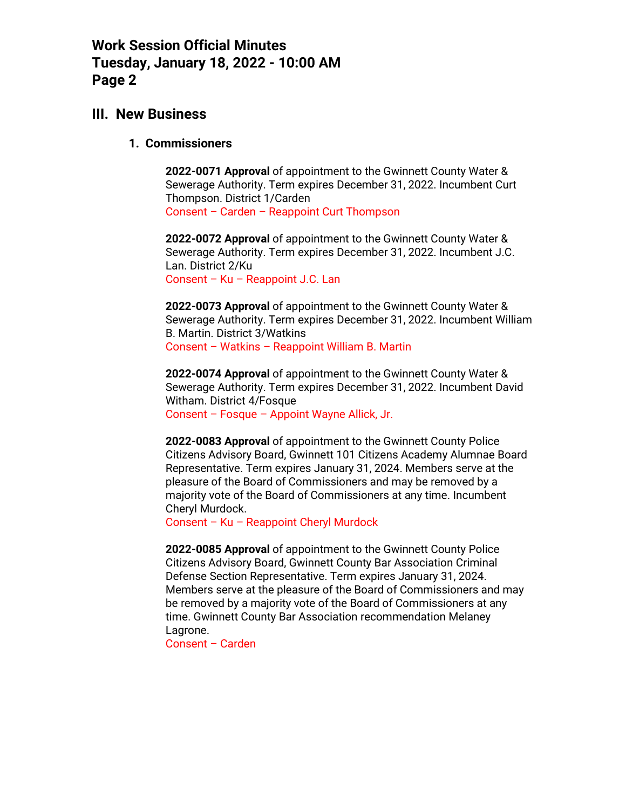### **III. New Business**

#### **1. Commissioners**

**2022-0071 Approval** of appointment to the Gwinnett County Water & Sewerage Authority. Term expires December 31, 2022. Incumbent Curt Thompson. District 1/Carden Consent – Carden – Reappoint Curt Thompson

**2022-0072 Approval** of appointment to the Gwinnett County Water & Sewerage Authority. Term expires December 31, 2022. Incumbent J.C. Lan. District 2/Ku Consent – Ku – Reappoint J.C. Lan

**2022-0073 Approval** of appointment to the Gwinnett County Water & Sewerage Authority. Term expires December 31, 2022. Incumbent William B. Martin. District 3/Watkins Consent – Watkins – Reappoint William B. Martin

**2022-0074 Approval** of appointment to the Gwinnett County Water & Sewerage Authority. Term expires December 31, 2022. Incumbent David Witham. District 4/Fosque Consent – Fosque – Appoint Wayne Allick, Jr.

**2022-0083 Approval** of appointment to the Gwinnett County Police Citizens Advisory Board, Gwinnett 101 Citizens Academy Alumnae Board Representative. Term expires January 31, 2024. Members serve at the pleasure of the Board of Commissioners and may be removed by a majority vote of the Board of Commissioners at any time. Incumbent Cheryl Murdock.

Consent – Ku – Reappoint Cheryl Murdock

**2022-0085 Approval** of appointment to the Gwinnett County Police Citizens Advisory Board, Gwinnett County Bar Association Criminal Defense Section Representative. Term expires January 31, 2024. Members serve at the pleasure of the Board of Commissioners and may be removed by a majority vote of the Board of Commissioners at any time. Gwinnett County Bar Association recommendation Melaney Lagrone.

Consent – Carden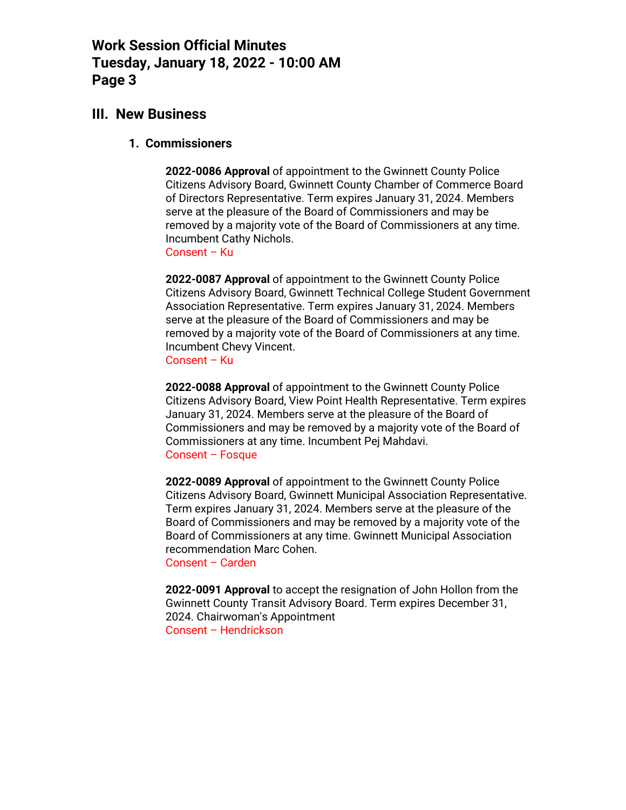### **III. New Business**

#### **1. Commissioners**

**2022-0086 Approval** of appointment to the Gwinnett County Police Citizens Advisory Board, Gwinnett County Chamber of Commerce Board of Directors Representative. Term expires January 31, 2024. Members serve at the pleasure of the Board of Commissioners and may be removed by a majority vote of the Board of Commissioners at any time. Incumbent Cathy Nichols.

Consent – Ku

**2022-0087 Approval** of appointment to the Gwinnett County Police Citizens Advisory Board, Gwinnett Technical College Student Government Association Representative. Term expires January 31, 2024. Members serve at the pleasure of the Board of Commissioners and may be removed by a majority vote of the Board of Commissioners at any time. Incumbent Chevy Vincent.

Consent – Ku

**2022-0088 Approval** of appointment to the Gwinnett County Police Citizens Advisory Board, View Point Health Representative. Term expires January 31, 2024. Members serve at the pleasure of the Board of Commissioners and may be removed by a majority vote of the Board of Commissioners at any time. Incumbent Pej Mahdavi. Consent – Fosque

**2022-0089 Approval** of appointment to the Gwinnett County Police Citizens Advisory Board, Gwinnett Municipal Association Representative. Term expires January 31, 2024. Members serve at the pleasure of the Board of Commissioners and may be removed by a majority vote of the Board of Commissioners at any time. Gwinnett Municipal Association recommendation Marc Cohen.

Consent – Carden

**2022-0091 Approval** to accept the resignation of John Hollon from the Gwinnett County Transit Advisory Board. Term expires December 31, 2024. Chairwoman's Appointment Consent – Hendrickson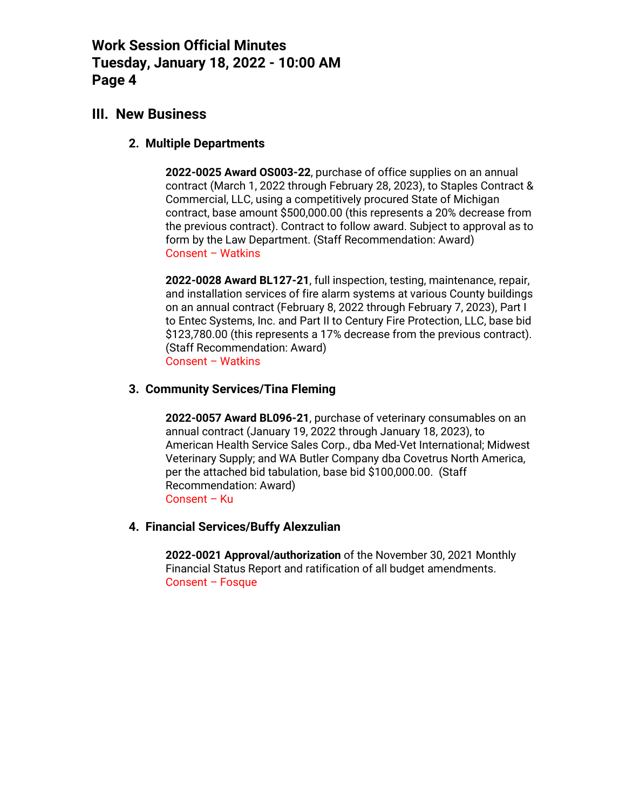### **III. New Business**

### **2. Multiple Departments**

**2022-0025 Award OS003-22**, purchase of office supplies on an annual contract (March 1, 2022 through February 28, 2023), to Staples Contract & Commercial, LLC, using a competitively procured State of Michigan contract, base amount \$500,000.00 (this represents a 20% decrease from the previous contract). Contract to follow award. Subject to approval as to form by the Law Department. (Staff Recommendation: Award) Consent – Watkins

**2022-0028 Award BL127-21**, full inspection, testing, maintenance, repair, and installation services of fire alarm systems at various County buildings on an annual contract (February 8, 2022 through February 7, 2023), Part I to Entec Systems, Inc. and Part II to Century Fire Protection, LLC, base bid \$123,780.00 (this represents a 17% decrease from the previous contract). (Staff Recommendation: Award) Consent – Watkins

### **3. Community Services/Tina Fleming**

**2022-0057 Award BL096-21**, purchase of veterinary consumables on an annual contract (January 19, 2022 through January 18, 2023), to American Health Service Sales Corp., dba Med-Vet International; Midwest Veterinary Supply; and WA Butler Company dba Covetrus North America, per the attached bid tabulation, base bid \$100,000.00. (Staff Recommendation: Award) Consent – Ku

### **4. Financial Services/Buffy Alexzulian**

**2022-0021 Approval/authorization** of the November 30, 2021 Monthly Financial Status Report and ratification of all budget amendments. Consent – Fosque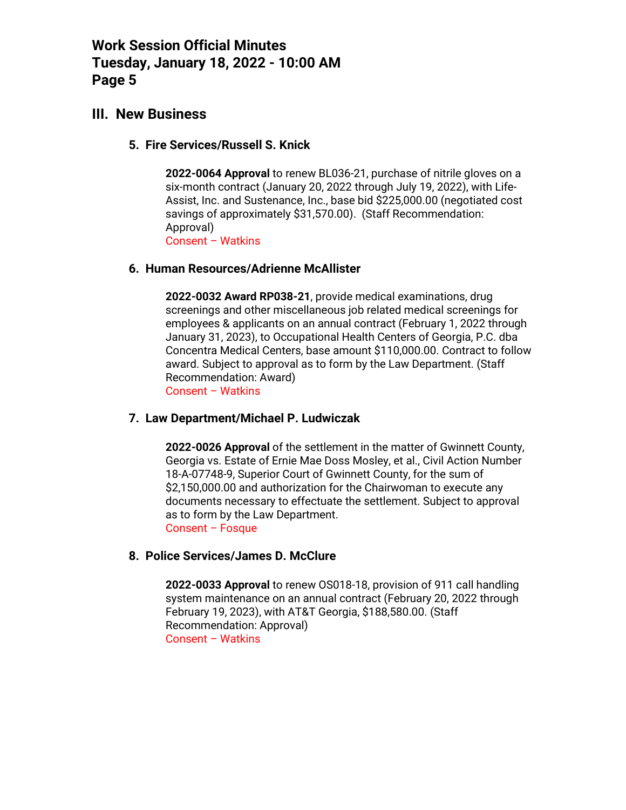### **III. New Business**

#### **5. Fire Services/Russell S. Knick**

**2022-0064 Approval** to renew BL036-21, purchase of nitrile gloves on a six-month contract (January 20, 2022 through July 19, 2022), with Life-Assist, Inc. and Sustenance, Inc., base bid \$225,000.00 (negotiated cost savings of approximately \$31,570.00). (Staff Recommendation: Approval) Consent – Watkins

#### **6. Human Resources/Adrienne McAllister**

**2022-0032 Award RP038-21**, provide medical examinations, drug screenings and other miscellaneous job related medical screenings for employees & applicants on an annual contract (February 1, 2022 through January 31, 2023), to Occupational Health Centers of Georgia, P.C. dba Concentra Medical Centers, base amount \$110,000.00. Contract to follow award. Subject to approval as to form by the Law Department. (Staff Recommendation: Award) Consent – Watkins

#### **7. Law Department/Michael P. Ludwiczak**

**2022-0026 Approval** of the settlement in the matter of Gwinnett County, Georgia vs. Estate of Ernie Mae Doss Mosley, et al., Civil Action Number 18-A-07748-9, Superior Court of Gwinnett County, for the sum of \$2,150,000.00 and authorization for the Chairwoman to execute any documents necessary to effectuate the settlement. Subject to approval as to form by the Law Department. Consent – Fosque

### **8. Police Services/James D. McClure**

**2022-0033 Approval** to renew OS018-18, provision of 911 call handling system maintenance on an annual contract (February 20, 2022 through February 19, 2023), with AT&T Georgia, \$188,580.00. (Staff Recommendation: Approval) Consent – Watkins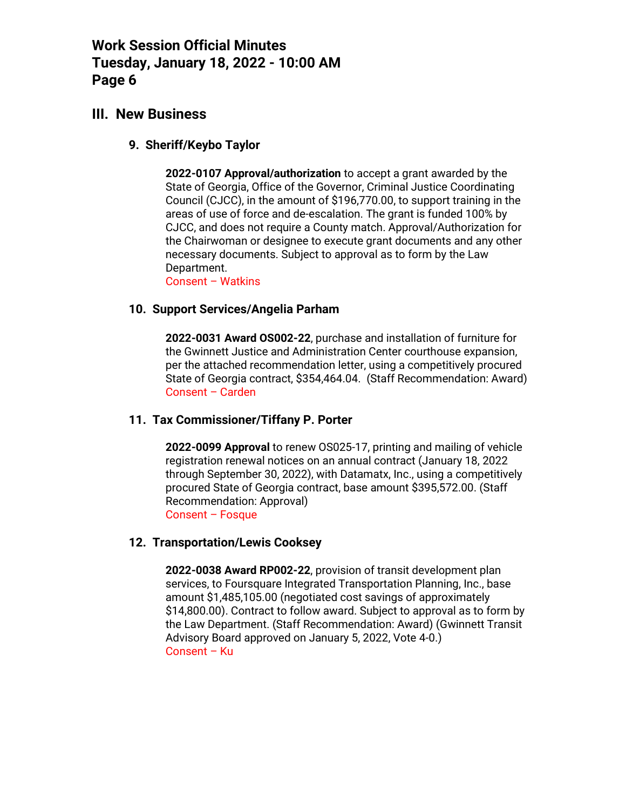### **III. New Business**

#### **9. Sheriff/Keybo Taylor**

**2022-0107 Approval/authorization** to accept a grant awarded by the State of Georgia, Office of the Governor, Criminal Justice Coordinating Council (CJCC), in the amount of \$196,770.00, to support training in the areas of use of force and de-escalation. The grant is funded 100% by CJCC, and does not require a County match. Approval/Authorization for the Chairwoman or designee to execute grant documents and any other necessary documents. Subject to approval as to form by the Law Department.

Consent – Watkins

#### **10. Support Services/Angelia Parham**

**2022-0031 Award OS002-22**, purchase and installation of furniture for the Gwinnett Justice and Administration Center courthouse expansion, per the attached recommendation letter, using a competitively procured State of Georgia contract, \$354,464.04. (Staff Recommendation: Award) Consent – Carden

### **11. Tax Commissioner/Tiffany P. Porter**

**2022-0099 Approval** to renew OS025-17, printing and mailing of vehicle registration renewal notices on an annual contract (January 18, 2022 through September 30, 2022), with Datamatx, Inc., using a competitively procured State of Georgia contract, base amount \$395,572.00. (Staff Recommendation: Approval) Consent – Fosque

### **12. Transportation/Lewis Cooksey**

**2022-0038 Award RP002-22**, provision of transit development plan services, to Foursquare Integrated Transportation Planning, Inc., base amount \$1,485,105.00 (negotiated cost savings of approximately \$14,800.00). Contract to follow award. Subject to approval as to form by the Law Department. (Staff Recommendation: Award) (Gwinnett Transit Advisory Board approved on January 5, 2022, Vote 4-0.) Consent – Ku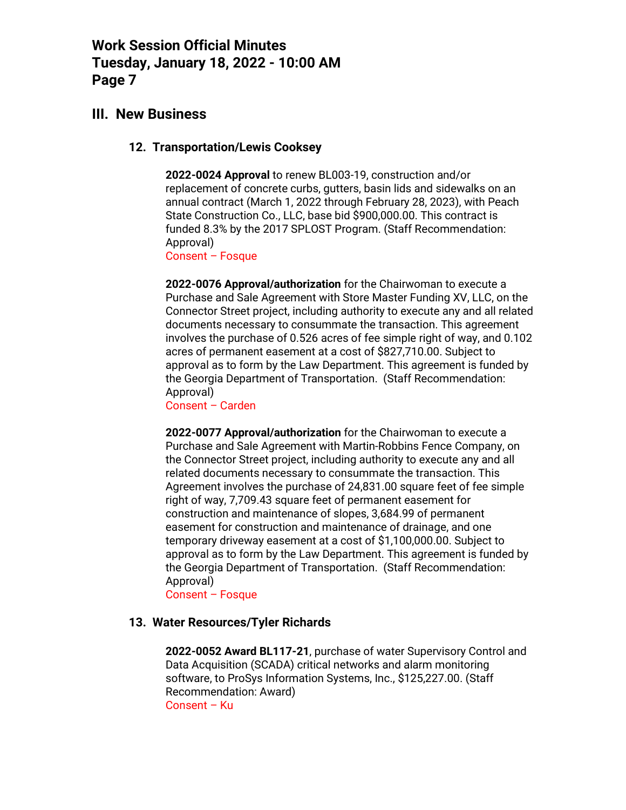### **III. New Business**

#### **12. Transportation/Lewis Cooksey**

**2022-0024 Approval** to renew BL003-19, construction and/or replacement of concrete curbs, gutters, basin lids and sidewalks on an annual contract (March 1, 2022 through February 28, 2023), with Peach State Construction Co., LLC, base bid \$900,000.00. This contract is funded 8.3% by the 2017 SPLOST Program. (Staff Recommendation: Approval)

Consent – Fosque

**2022-0076 Approval/authorization** for the Chairwoman to execute a Purchase and Sale Agreement with Store Master Funding XV, LLC, on the Connector Street project, including authority to execute any and all related documents necessary to consummate the transaction. This agreement involves the purchase of 0.526 acres of fee simple right of way, and 0.102 acres of permanent easement at a cost of \$827,710.00. Subject to approval as to form by the Law Department. This agreement is funded by the Georgia Department of Transportation. (Staff Recommendation: Approval)

Consent – Carden

**2022-0077 Approval/authorization** for the Chairwoman to execute a Purchase and Sale Agreement with Martin-Robbins Fence Company, on the Connector Street project, including authority to execute any and all related documents necessary to consummate the transaction. This Agreement involves the purchase of 24,831.00 square feet of fee simple right of way, 7,709.43 square feet of permanent easement for construction and maintenance of slopes, 3,684.99 of permanent easement for construction and maintenance of drainage, and one temporary driveway easement at a cost of \$1,100,000.00. Subject to approval as to form by the Law Department. This agreement is funded by the Georgia Department of Transportation. (Staff Recommendation: Approval)

Consent – Fosque

### **13. Water Resources/Tyler Richards**

**2022-0052 Award BL117-21**, purchase of water Supervisory Control and Data Acquisition (SCADA) critical networks and alarm monitoring software, to ProSys Information Systems, Inc., \$125,227.00. (Staff Recommendation: Award) Consent – Ku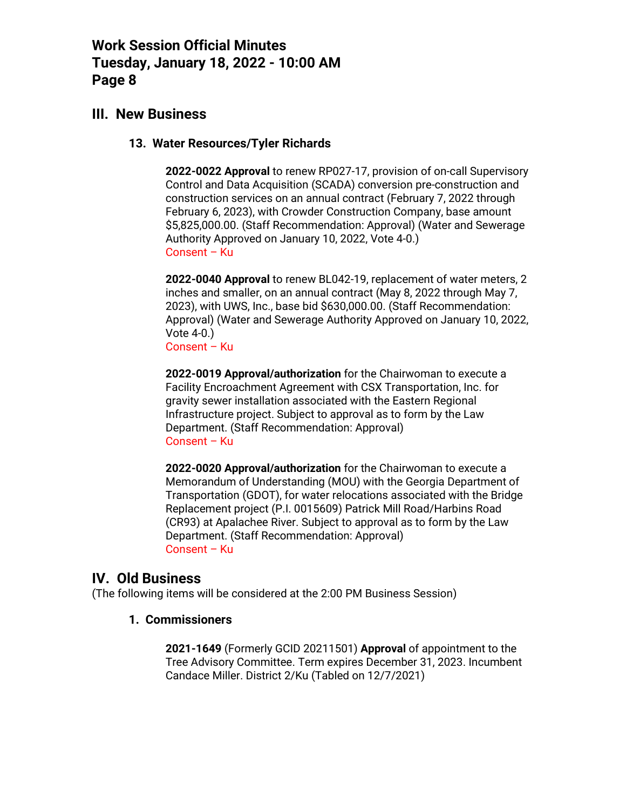### **III. New Business**

#### **13. Water Resources/Tyler Richards**

**2022-0022 Approval** to renew RP027-17, provision of on-call Supervisory Control and Data Acquisition (SCADA) conversion pre-construction and construction services on an annual contract (February 7, 2022 through February 6, 2023), with Crowder Construction Company, base amount \$5,825,000.00. (Staff Recommendation: Approval) (Water and Sewerage Authority Approved on January 10, 2022, Vote 4-0.) Consent – Ku

**2022-0040 Approval** to renew BL042-19, replacement of water meters, 2 inches and smaller, on an annual contract (May 8, 2022 through May 7, 2023), with UWS, Inc., base bid \$630,000.00. (Staff Recommendation: Approval) (Water and Sewerage Authority Approved on January 10, 2022, Vote 4-0.) Consent – Ku

**2022-0019 Approval/authorization** for the Chairwoman to execute a Facility Encroachment Agreement with CSX Transportation, Inc. for gravity sewer installation associated with the Eastern Regional Infrastructure project. Subject to approval as to form by the Law Department. (Staff Recommendation: Approval) Consent – Ku

**2022-0020 Approval/authorization** for the Chairwoman to execute a Memorandum of Understanding (MOU) with the Georgia Department of Transportation (GDOT), for water relocations associated with the Bridge Replacement project (P.I. 0015609) Patrick Mill Road/Harbins Road (CR93) at Apalachee River. Subject to approval as to form by the Law Department. (Staff Recommendation: Approval) Consent – Ku

### **IV. Old Business**

(The following items will be considered at the 2:00 PM Business Session)

#### **1. Commissioners**

**2021-1649** (Formerly GCID 20211501) **Approval** of appointment to the Tree Advisory Committee. Term expires December 31, 2023. Incumbent Candace Miller. District 2/Ku (Tabled on 12/7/2021)